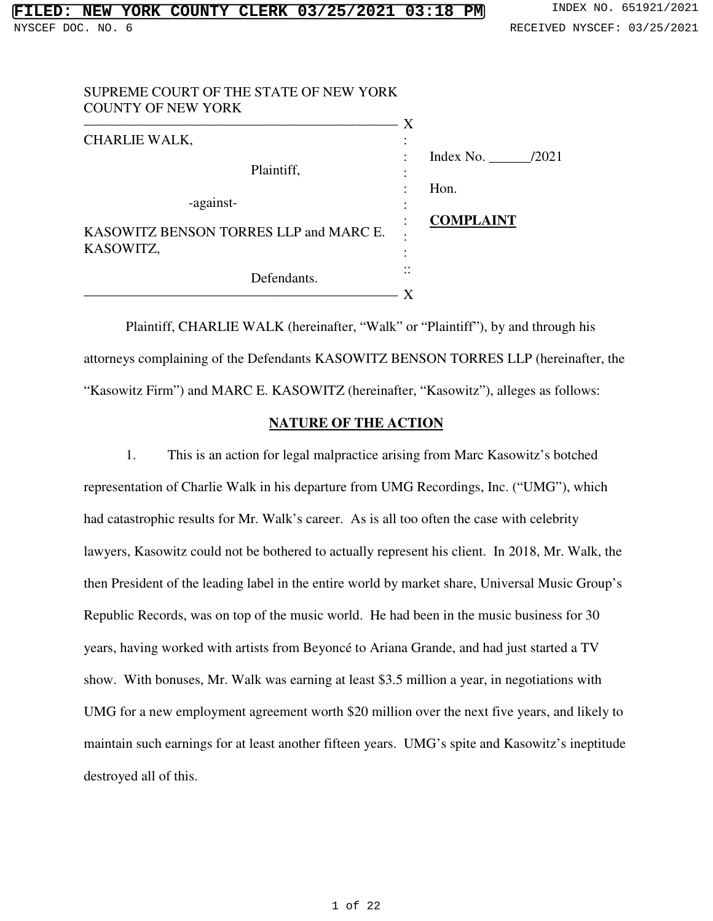| SUPREME COURT OF THE STATE OF NEW YORK<br><b>COUNTY OF NEW YORK</b> |                                |
|---------------------------------------------------------------------|--------------------------------|
| <b>CHARLIE WALK,</b>                                                | X                              |
| Plaintiff,                                                          | Index No. $\_\_$<br>/2021<br>٠ |
| -against-                                                           | Hon.                           |
| KASOWITZ BENSON TORRES LLP and MARC E.                              | <b>COMPLAINT</b>               |
| KASOWITZ,                                                           |                                |
| Defendants.                                                         |                                |
|                                                                     |                                |

Plaintiff, CHARLIE WALK (hereinafter, "Walk" or "Plaintiff"), by and through his attorneys complaining of the Defendants KASOWITZ BENSON TORRES LLP (hereinafter, the "Kasowitz Firm") and MARC E. KASOWITZ (hereinafter, "Kasowitz"), alleges as follows:

### **NATURE OF THE ACTION**

1. This is an action for legal malpractice arising from Marc Kasowitz's botched representation of Charlie Walk in his departure from UMG Recordings, Inc. ("UMG"), which had catastrophic results for Mr. Walk's career. As is all too often the case with celebrity lawyers, Kasowitz could not be bothered to actually represent his client. In 2018, Mr. Walk, the then President of the leading label in the entire world by market share, Universal Music Group's Republic Records, was on top of the music world. He had been in the music business for 30 years, having worked with artists from Beyoncé to Ariana Grande, and had just started a TV show. With bonuses, Mr. Walk was earning at least \$3.5 million a year, in negotiations with UMG for a new employment agreement worth \$20 million over the next five years, and likely to maintain such earnings for at least another fifteen years. UMG's spite and Kasowitz's ineptitude destroyed all of this.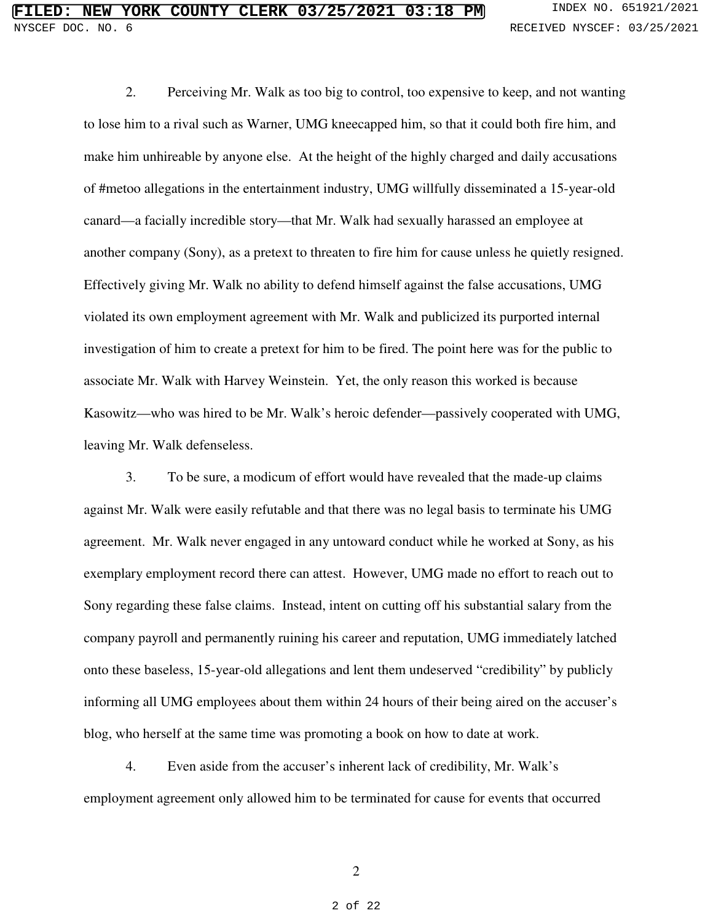2. Perceiving Mr. Walk as too big to control, too expensive to keep, and not wanting to lose him to a rival such as Warner, UMG kneecapped him, so that it could both fire him, and make him unhireable by anyone else. At the height of the highly charged and daily accusations of #metoo allegations in the entertainment industry, UMG willfully disseminated a 15-year-old canard—a facially incredible story—that Mr. Walk had sexually harassed an employee at another company (Sony), as a pretext to threaten to fire him for cause unless he quietly resigned. Effectively giving Mr. Walk no ability to defend himself against the false accusations, UMG violated its own employment agreement with Mr. Walk and publicized its purported internal investigation of him to create a pretext for him to be fired. The point here was for the public to associate Mr. Walk with Harvey Weinstein. Yet, the only reason this worked is because Kasowitz—who was hired to be Mr. Walk's heroic defender—passively cooperated with UMG, leaving Mr. Walk defenseless.

3. To be sure, a modicum of effort would have revealed that the made-up claims against Mr. Walk were easily refutable and that there was no legal basis to terminate his UMG agreement. Mr. Walk never engaged in any untoward conduct while he worked at Sony, as his exemplary employment record there can attest. However, UMG made no effort to reach out to Sony regarding these false claims. Instead, intent on cutting off his substantial salary from the company payroll and permanently ruining his career and reputation, UMG immediately latched onto these baseless, 15-year-old allegations and lent them undeserved "credibility" by publicly informing all UMG employees about them within 24 hours of their being aired on the accuser's blog, who herself at the same time was promoting a book on how to date at work.

4. Even aside from the accuser's inherent lack of credibility, Mr. Walk's employment agreement only allowed him to be terminated for cause for events that occurred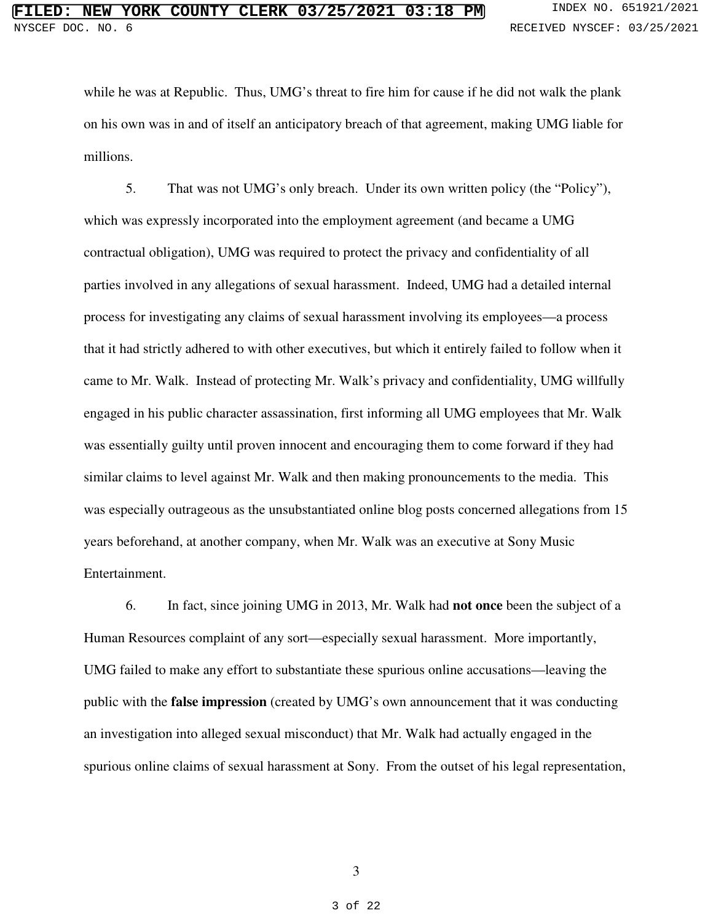while he was at Republic. Thus, UMG's threat to fire him for cause if he did not walk the plank on his own was in and of itself an anticipatory breach of that agreement, making UMG liable for millions.

5. That was not UMG's only breach. Under its own written policy (the "Policy"), which was expressly incorporated into the employment agreement (and became a UMG contractual obligation), UMG was required to protect the privacy and confidentiality of all parties involved in any allegations of sexual harassment. Indeed, UMG had a detailed internal process for investigating any claims of sexual harassment involving its employees—a process that it had strictly adhered to with other executives, but which it entirely failed to follow when it came to Mr. Walk. Instead of protecting Mr. Walk's privacy and confidentiality, UMG willfully engaged in his public character assassination, first informing all UMG employees that Mr. Walk was essentially guilty until proven innocent and encouraging them to come forward if they had similar claims to level against Mr. Walk and then making pronouncements to the media. This was especially outrageous as the unsubstantiated online blog posts concerned allegations from 15 years beforehand, at another company, when Mr. Walk was an executive at Sony Music Entertainment.

6. In fact, since joining UMG in 2013, Mr. Walk had **not once** been the subject of a Human Resources complaint of any sort—especially sexual harassment. More importantly, UMG failed to make any effort to substantiate these spurious online accusations—leaving the public with the **false impression** (created by UMG's own announcement that it was conducting an investigation into alleged sexual misconduct) that Mr. Walk had actually engaged in the spurious online claims of sexual harassment at Sony. From the outset of his legal representation,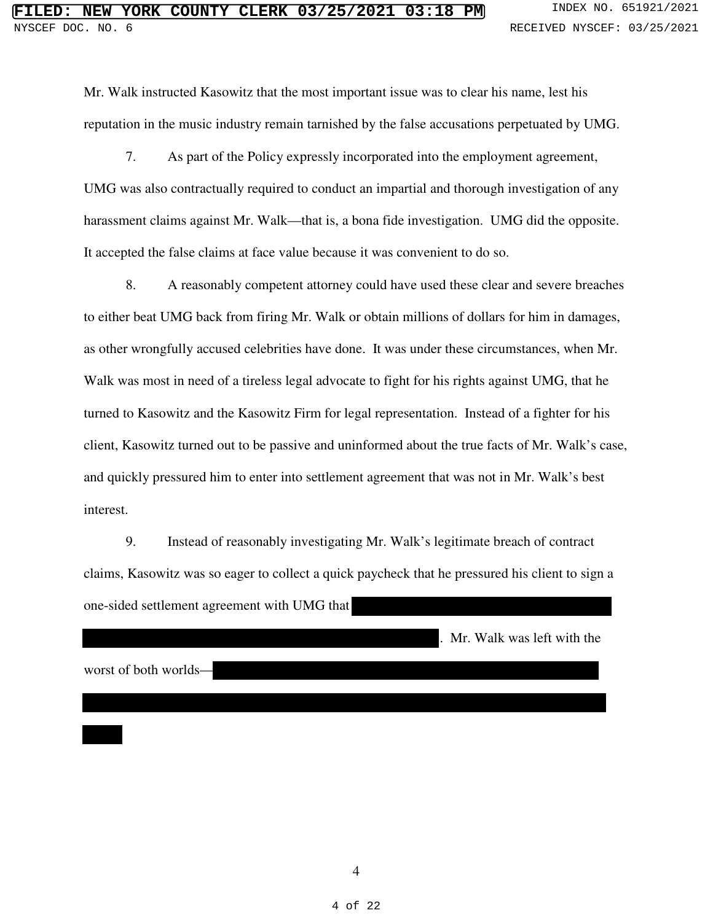Mr. Walk instructed Kasowitz that the most important issue was to clear his name, lest his reputation in the music industry remain tarnished by the false accusations perpetuated by UMG.

7. As part of the Policy expressly incorporated into the employment agreement, UMG was also contractually required to conduct an impartial and thorough investigation of any harassment claims against Mr. Walk—that is, a bona fide investigation. UMG did the opposite. It accepted the false claims at face value because it was convenient to do so.

8. A reasonably competent attorney could have used these clear and severe breaches to either beat UMG back from firing Mr. Walk or obtain millions of dollars for him in damages, as other wrongfully accused celebrities have done. It was under these circumstances, when Mr. Walk was most in need of a tireless legal advocate to fight for his rights against UMG, that he turned to Kasowitz and the Kasowitz Firm for legal representation. Instead of a fighter for his client, Kasowitz turned out to be passive and uninformed about the true facts of Mr. Walk's case, and quickly pressured him to enter into settlement agreement that was not in Mr. Walk's best interest.

9. Instead of reasonably investigating Mr. Walk's legitimate breach of contract claims, Kasowitz was so eager to collect a quick paycheck that he pressured his client to sign a one-sided settlement agreement with UMG that

. Mr. Walk was left with the

worst of both worlds—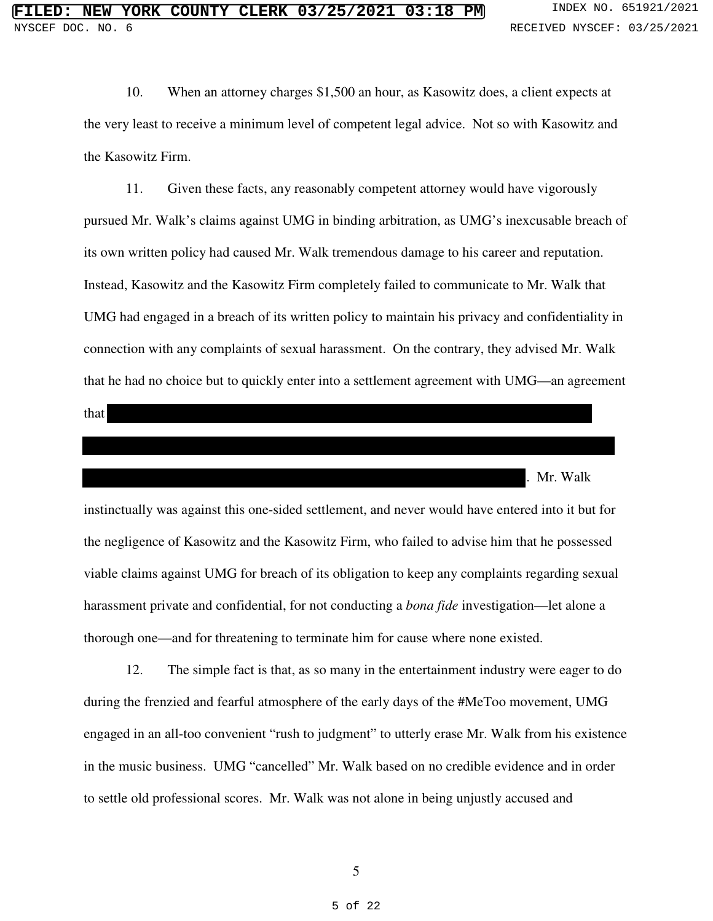10. When an attorney charges \$1,500 an hour, as Kasowitz does, a client expects at the very least to receive a minimum level of competent legal advice. Not so with Kasowitz and the Kasowitz Firm.

11. Given these facts, any reasonably competent attorney would have vigorously pursued Mr. Walk's claims against UMG in binding arbitration, as UMG's inexcusable breach of its own written policy had caused Mr. Walk tremendous damage to his career and reputation. Instead, Kasowitz and the Kasowitz Firm completely failed to communicate to Mr. Walk that UMG had engaged in a breach of its written policy to maintain his privacy and confidentiality in connection with any complaints of sexual harassment. On the contrary, they advised Mr. Walk that he had no choice but to quickly enter into a settlement agreement with UMG—an agreement

| that |          |  |
|------|----------|--|
|      |          |  |
|      |          |  |
|      |          |  |
|      |          |  |
|      | Mr. Walk |  |

instinctually was against this one-sided settlement, and never would have entered into it but for the negligence of Kasowitz and the Kasowitz Firm, who failed to advise him that he possessed viable claims against UMG for breach of its obligation to keep any complaints regarding sexual harassment private and confidential, for not conducting a *bona fide* investigation—let alone a thorough one—and for threatening to terminate him for cause where none existed.

12. The simple fact is that, as so many in the entertainment industry were eager to do during the frenzied and fearful atmosphere of the early days of the #MeToo movement, UMG engaged in an all-too convenient "rush to judgment" to utterly erase Mr. Walk from his existence in the music business. UMG "cancelled" Mr. Walk based on no credible evidence and in order to settle old professional scores. Mr. Walk was not alone in being unjustly accused and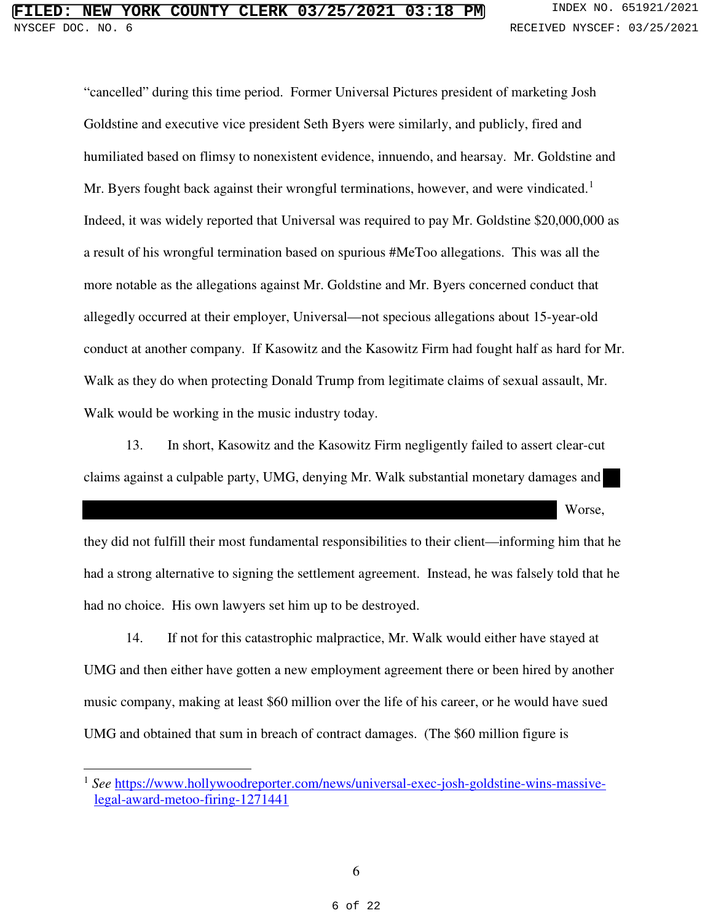"cancelled" during this time period. Former Universal Pictures president of marketing Josh Goldstine and executive vice president Seth Byers were similarly, and publicly, fired and humiliated based on flimsy to nonexistent evidence, innuendo, and hearsay. Mr. Goldstine and Mr. Byers fought back against their wrongful terminations, however, and were vindicated.<sup>[1](#page--1-0)</sup> Indeed, it was widely reported that Universal was required to pay Mr. Goldstine \$20,000,000 as a result of his wrongful termination based on spurious #MeToo allegations. This was all the more notable as the allegations against Mr. Goldstine and Mr. Byers concerned conduct that allegedly occurred at their employer, Universal—not specious allegations about 15-year-old conduct at another company. If Kasowitz and the Kasowitz Firm had fought half as hard for Mr. Walk as they do when protecting Donald Trump from legitimate claims of sexual assault, Mr. Walk would be working in the music industry today.

13. In short, Kasowitz and the Kasowitz Firm negligently failed to assert clear-cut claims against a culpable party, UMG, denying Mr. Walk substantial monetary damages and

Worse,

they did not fulfill their most fundamental responsibilities to their client—informing him that he had a strong alternative to signing the settlement agreement. Instead, he was falsely told that he had no choice. His own lawyers set him up to be destroyed.

14. If not for this catastrophic malpractice, Mr. Walk would either have stayed at UMG and then either have gotten a new employment agreement there or been hired by another music company, making at least \$60 million over the life of his career, or he would have sued UMG and obtained that sum in breach of contract damages. (The \$60 million figure is

 $\overline{a}$ 

<sup>&</sup>lt;sup>1</sup> See [https://www.hollywoodreporter.com/news/universal-exec-josh-goldstine-wins-massive](https://www.hollywoodreporter.com/news/universal-exec-josh-goldstine-wins-massive-legal-award-metoo-firing-1271441)[legal-award-metoo-firing-1271441](https://www.hollywoodreporter.com/news/universal-exec-josh-goldstine-wins-massive-legal-award-metoo-firing-1271441)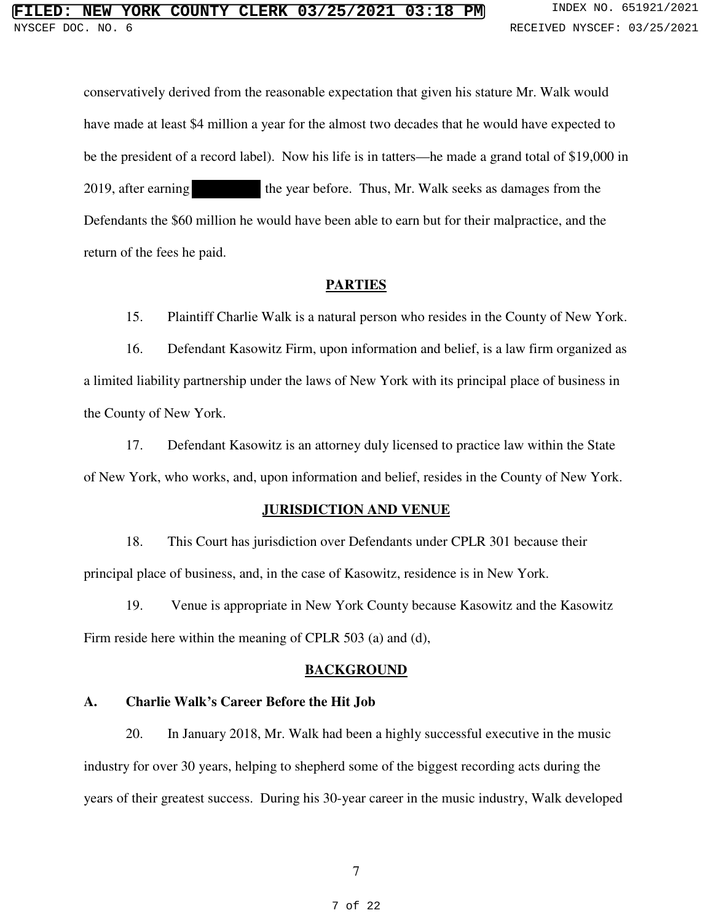conservatively derived from the reasonable expectation that given his stature Mr. Walk would have made at least \$4 million a year for the almost two decades that he would have expected to be the president of a record label). Now his life is in tatters—he made a grand total of \$19,000 in 2019, after earning the year before. Thus, Mr. Walk seeks as damages from the Defendants the \$60 million he would have been able to earn but for their malpractice, and the return of the fees he paid.

#### **PARTIES**

15. Plaintiff Charlie Walk is a natural person who resides in the County of New York.

16. Defendant Kasowitz Firm, upon information and belief, is a law firm organized as a limited liability partnership under the laws of New York with its principal place of business in the County of New York.

17. Defendant Kasowitz is an attorney duly licensed to practice law within the State of New York, who works, and, upon information and belief, resides in the County of New York.

#### **JURISDICTION AND VENUE**

18. This Court has jurisdiction over Defendants under CPLR 301 because their principal place of business, and, in the case of Kasowitz, residence is in New York.

19. Venue is appropriate in New York County because Kasowitz and the Kasowitz Firm reside here within the meaning of CPLR 503 (a) and (d),

#### **BACKGROUND**

#### **A. Charlie Walk's Career Before the Hit Job**

20. In January 2018, Mr. Walk had been a highly successful executive in the music industry for over 30 years, helping to shepherd some of the biggest recording acts during the years of their greatest success. During his 30-year career in the music industry, Walk developed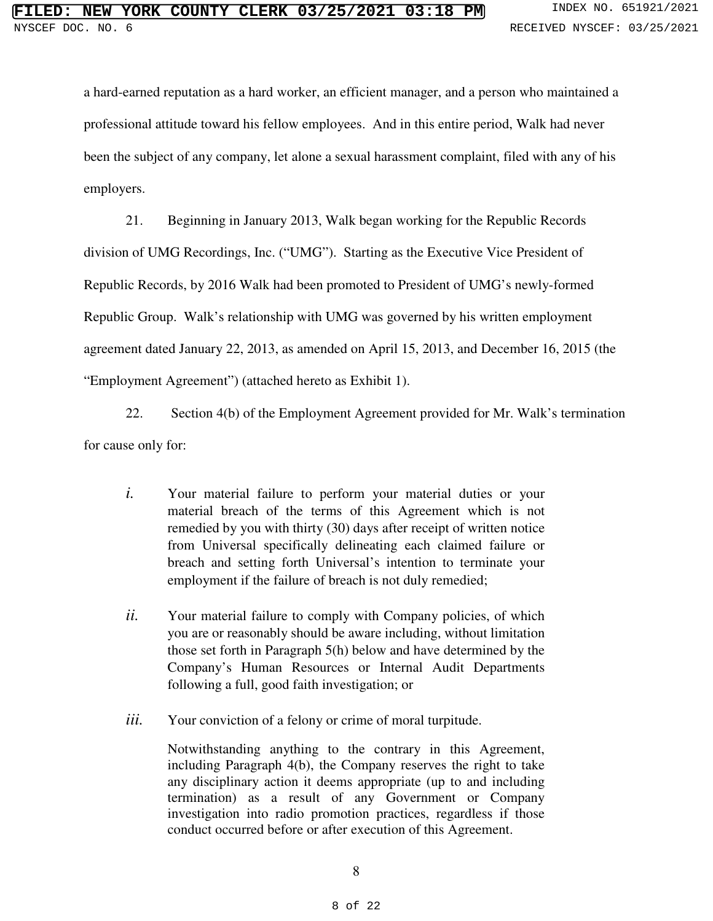a hard-earned reputation as a hard worker, an efficient manager, and a person who maintained a professional attitude toward his fellow employees. And in this entire period, Walk had never been the subject of any company, let alone a sexual harassment complaint, filed with any of his employers.

21. Beginning in January 2013, Walk began working for the Republic Records division of UMG Recordings, Inc. ("UMG"). Starting as the Executive Vice President of Republic Records, by 2016 Walk had been promoted to President of UMG's newly-formed Republic Group. Walk's relationship with UMG was governed by his written employment agreement dated January 22, 2013, as amended on April 15, 2013, and December 16, 2015 (the "Employment Agreement") (attached hereto as Exhibit 1).

22. Section 4(b) of the Employment Agreement provided for Mr. Walk's termination for cause only for:

- *i.* Your material failure to perform your material duties or your material breach of the terms of this Agreement which is not remedied by you with thirty (30) days after receipt of written notice from Universal specifically delineating each claimed failure or breach and setting forth Universal's intention to terminate your employment if the failure of breach is not duly remedied;
- *ii.* Your material failure to comply with Company policies, of which you are or reasonably should be aware including, without limitation those set forth in Paragraph 5(h) below and have determined by the Company's Human Resources or Internal Audit Departments following a full, good faith investigation; or
- *iii.* Your conviction of a felony or crime of moral turpitude.

Notwithstanding anything to the contrary in this Agreement, including Paragraph 4(b), the Company reserves the right to take any disciplinary action it deems appropriate (up to and including termination) as a result of any Government or Company investigation into radio promotion practices, regardless if those conduct occurred before or after execution of this Agreement.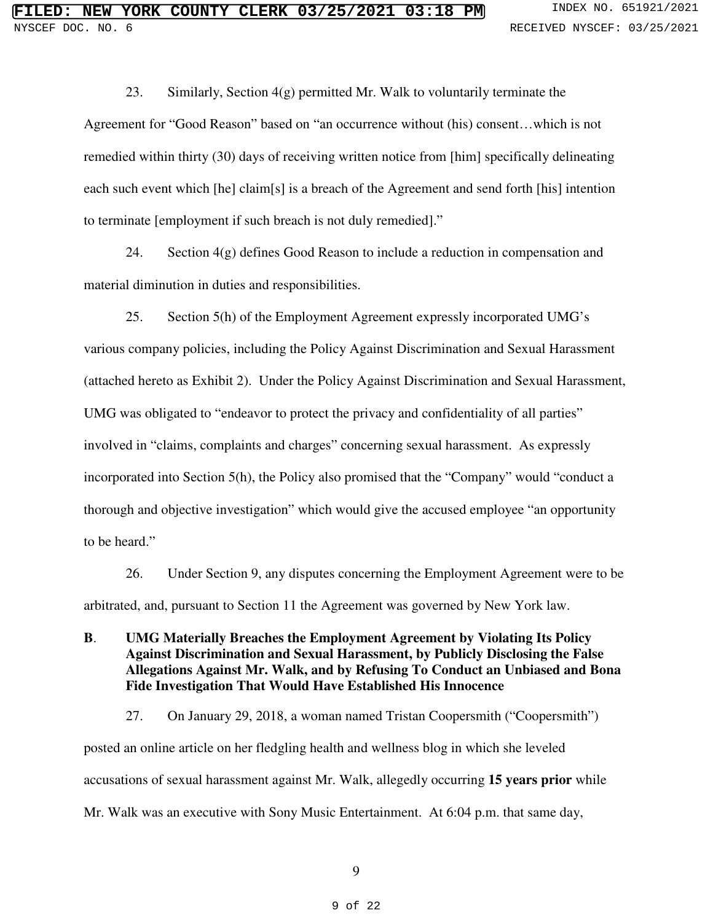23. Similarly, Section  $4(g)$  permitted Mr. Walk to voluntarily terminate the Agreement for "Good Reason" based on "an occurrence without (his) consent…which is not remedied within thirty (30) days of receiving written notice from [him] specifically delineating each such event which [he] claim[s] is a breach of the Agreement and send forth [his] intention to terminate [employment if such breach is not duly remedied]."

24. Section 4(g) defines Good Reason to include a reduction in compensation and material diminution in duties and responsibilities.

25. Section 5(h) of the Employment Agreement expressly incorporated UMG's various company policies, including the Policy Against Discrimination and Sexual Harassment (attached hereto as Exhibit 2). Under the Policy Against Discrimination and Sexual Harassment, UMG was obligated to "endeavor to protect the privacy and confidentiality of all parties" involved in "claims, complaints and charges" concerning sexual harassment. As expressly incorporated into Section 5(h), the Policy also promised that the "Company" would "conduct a thorough and objective investigation" which would give the accused employee "an opportunity to be heard."

26. Under Section 9, any disputes concerning the Employment Agreement were to be arbitrated, and, pursuant to Section 11 the Agreement was governed by New York law.

**B**. **UMG Materially Breaches the Employment Agreement by Violating Its Policy Against Discrimination and Sexual Harassment, by Publicly Disclosing the False Allegations Against Mr. Walk, and by Refusing To Conduct an Unbiased and Bona Fide Investigation That Would Have Established His Innocence**

27. On January 29, 2018, a woman named Tristan Coopersmith ("Coopersmith") posted an online article on her fledgling health and wellness blog in which she leveled accusations of sexual harassment against Mr. Walk, allegedly occurring **15 years prior** while Mr. Walk was an executive with Sony Music Entertainment. At 6:04 p.m. that same day,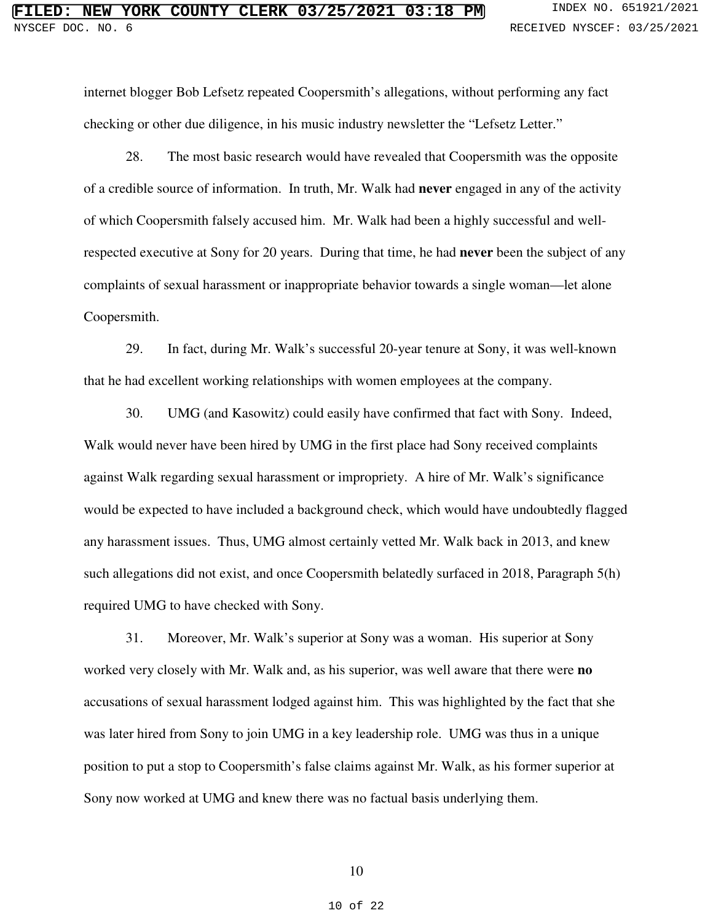internet blogger Bob Lefsetz repeated Coopersmith's allegations, without performing any fact checking or other due diligence, in his music industry newsletter the "Lefsetz Letter."

28. The most basic research would have revealed that Coopersmith was the opposite of a credible source of information. In truth, Mr. Walk had **never** engaged in any of the activity of which Coopersmith falsely accused him. Mr. Walk had been a highly successful and wellrespected executive at Sony for 20 years. During that time, he had **never** been the subject of any complaints of sexual harassment or inappropriate behavior towards a single woman—let alone Coopersmith.

29. In fact, during Mr. Walk's successful 20-year tenure at Sony, it was well-known that he had excellent working relationships with women employees at the company.

30. UMG (and Kasowitz) could easily have confirmed that fact with Sony. Indeed, Walk would never have been hired by UMG in the first place had Sony received complaints against Walk regarding sexual harassment or impropriety. A hire of Mr. Walk's significance would be expected to have included a background check, which would have undoubtedly flagged any harassment issues. Thus, UMG almost certainly vetted Mr. Walk back in 2013, and knew such allegations did not exist, and once Coopersmith belatedly surfaced in 2018, Paragraph 5(h) required UMG to have checked with Sony.

31. Moreover, Mr. Walk's superior at Sony was a woman. His superior at Sony worked very closely with Mr. Walk and, as his superior, was well aware that there were **no** accusations of sexual harassment lodged against him. This was highlighted by the fact that she was later hired from Sony to join UMG in a key leadership role. UMG was thus in a unique position to put a stop to Coopersmith's false claims against Mr. Walk, as his former superior at Sony now worked at UMG and knew there was no factual basis underlying them.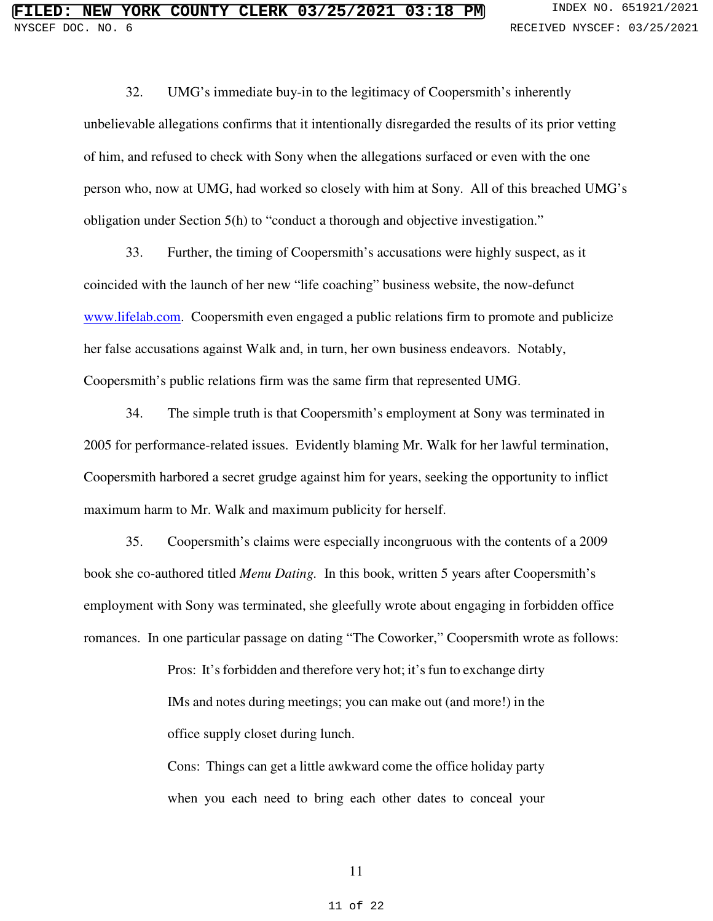32. UMG's immediate buy-in to the legitimacy of Coopersmith's inherently unbelievable allegations confirms that it intentionally disregarded the results of its prior vetting of him, and refused to check with Sony when the allegations surfaced or even with the one person who, now at UMG, had worked so closely with him at Sony. All of this breached UMG's obligation under Section 5(h) to "conduct a thorough and objective investigation."

33. Further, the timing of Coopersmith's accusations were highly suspect, as it coincided with the launch of her new "life coaching" business website, the now-defunct [www.lifelab.com.](http://www.lifelab.com/) Coopersmith even engaged a public relations firm to promote and publicize her false accusations against Walk and, in turn, her own business endeavors. Notably, Coopersmith's public relations firm was the same firm that represented UMG.

34. The simple truth is that Coopersmith's employment at Sony was terminated in 2005 for performance-related issues. Evidently blaming Mr. Walk for her lawful termination, Coopersmith harbored a secret grudge against him for years, seeking the opportunity to inflict maximum harm to Mr. Walk and maximum publicity for herself.

35. Coopersmith's claims were especially incongruous with the contents of a 2009 book she co-authored titled *Menu Dating.* In this book, written 5 years after Coopersmith's employment with Sony was terminated, she gleefully wrote about engaging in forbidden office romances. In one particular passage on dating "The Coworker," Coopersmith wrote as follows:

> Pros: It's forbidden and therefore very hot; it's fun to exchange dirty IMs and notes during meetings; you can make out (and more!) in the office supply closet during lunch.

> Cons: Things can get a little awkward come the office holiday party when you each need to bring each other dates to conceal your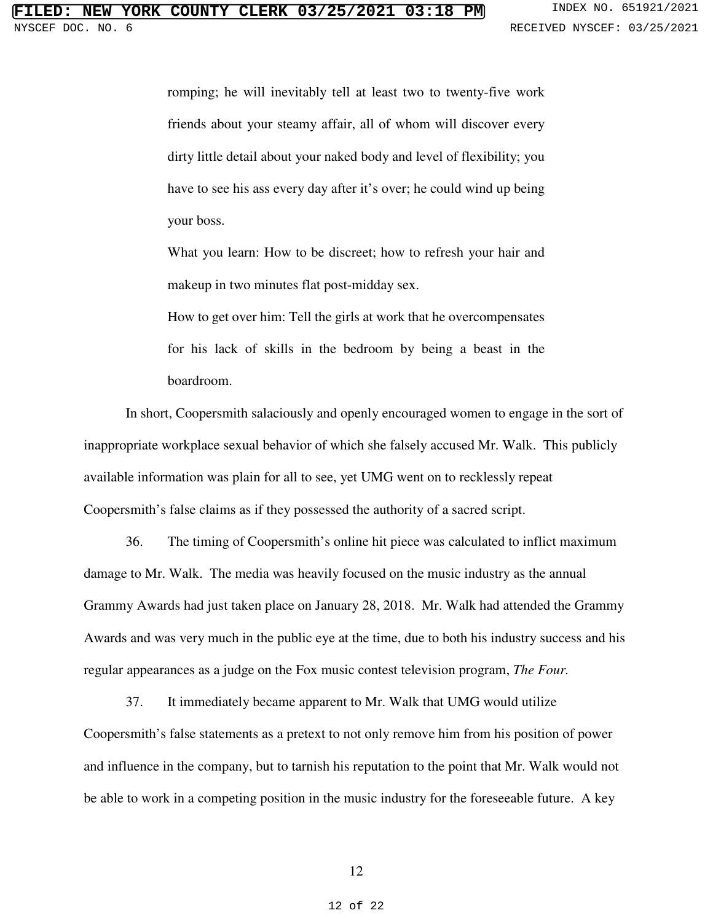romping; he will inevitably tell at least two to twenty-five work friends about your steamy affair, all of whom will discover every dirty little detail about your naked body and level of flexibility; you have to see his ass every day after it's over; he could wind up being your boss.

What you learn: How to be discreet; how to refresh your hair and makeup in two minutes flat post-midday sex.

How to get over him: Tell the girls at work that he overcompensates for his lack of skills in the bedroom by being a beast in the boardroom.

In short, Coopersmith salaciously and openly encouraged women to engage in the sort of inappropriate workplace sexual behavior of which she falsely accused Mr. Walk. This publicly available information was plain for all to see, yet UMG went on to recklessly repeat Coopersmith's false claims as if they possessed the authority of a sacred script.

36. The timing of Coopersmith's online hit piece was calculated to inflict maximum damage to Mr. Walk. The media was heavily focused on the music industry as the annual Grammy Awards had just taken place on January 28, 2018. Mr. Walk had attended the Grammy Awards and was very much in the public eye at the time, due to both his industry success and his regular appearances as a judge on the Fox music contest television program, *The Four.* 

37. It immediately became apparent to Mr. Walk that UMG would utilize Coopersmith's false statements as a pretext to not only remove him from his position of power and influence in the company, but to tarnish his reputation to the point that Mr. Walk would not be able to work in a competing position in the music industry for the foreseeable future. A key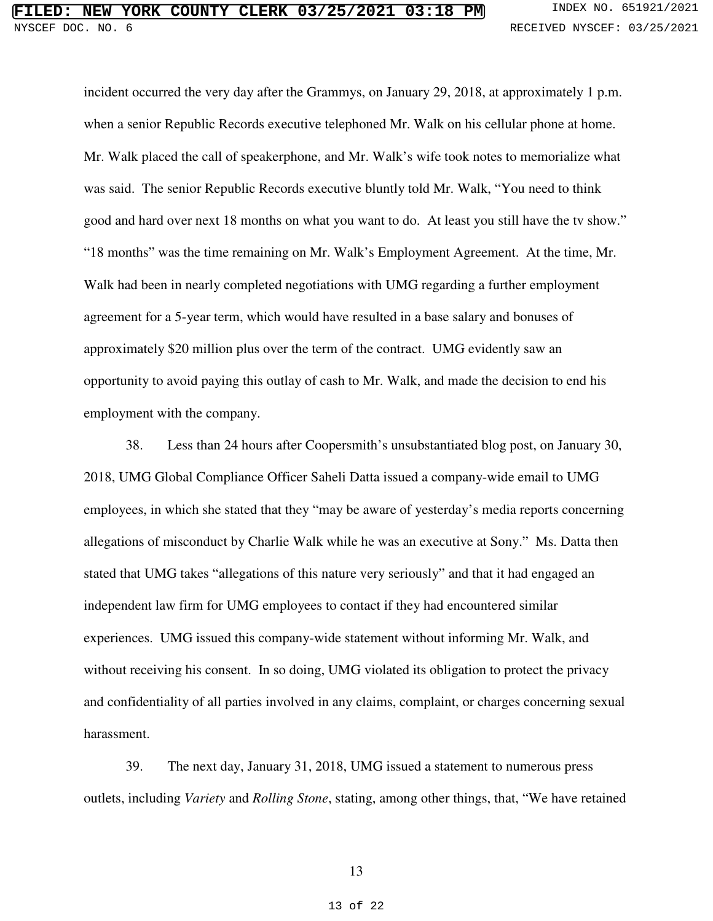incident occurred the very day after the Grammys, on January 29, 2018, at approximately 1 p.m. when a senior Republic Records executive telephoned Mr. Walk on his cellular phone at home. Mr. Walk placed the call of speakerphone, and Mr. Walk's wife took notes to memorialize what was said. The senior Republic Records executive bluntly told Mr. Walk, "You need to think good and hard over next 18 months on what you want to do. At least you still have the tv show." "18 months" was the time remaining on Mr. Walk's Employment Agreement. At the time, Mr. Walk had been in nearly completed negotiations with UMG regarding a further employment agreement for a 5-year term, which would have resulted in a base salary and bonuses of approximately \$20 million plus over the term of the contract. UMG evidently saw an opportunity to avoid paying this outlay of cash to Mr. Walk, and made the decision to end his employment with the company.

38. Less than 24 hours after Coopersmith's unsubstantiated blog post, on January 30, 2018, UMG Global Compliance Officer Saheli Datta issued a company-wide email to UMG employees, in which she stated that they "may be aware of yesterday's media reports concerning allegations of misconduct by Charlie Walk while he was an executive at Sony." Ms. Datta then stated that UMG takes "allegations of this nature very seriously" and that it had engaged an independent law firm for UMG employees to contact if they had encountered similar experiences. UMG issued this company-wide statement without informing Mr. Walk, and without receiving his consent. In so doing, UMG violated its obligation to protect the privacy and confidentiality of all parties involved in any claims, complaint, or charges concerning sexual harassment.

39. The next day, January 31, 2018, UMG issued a statement to numerous press outlets, including *Variety* and *Rolling Stone*, stating, among other things, that, "We have retained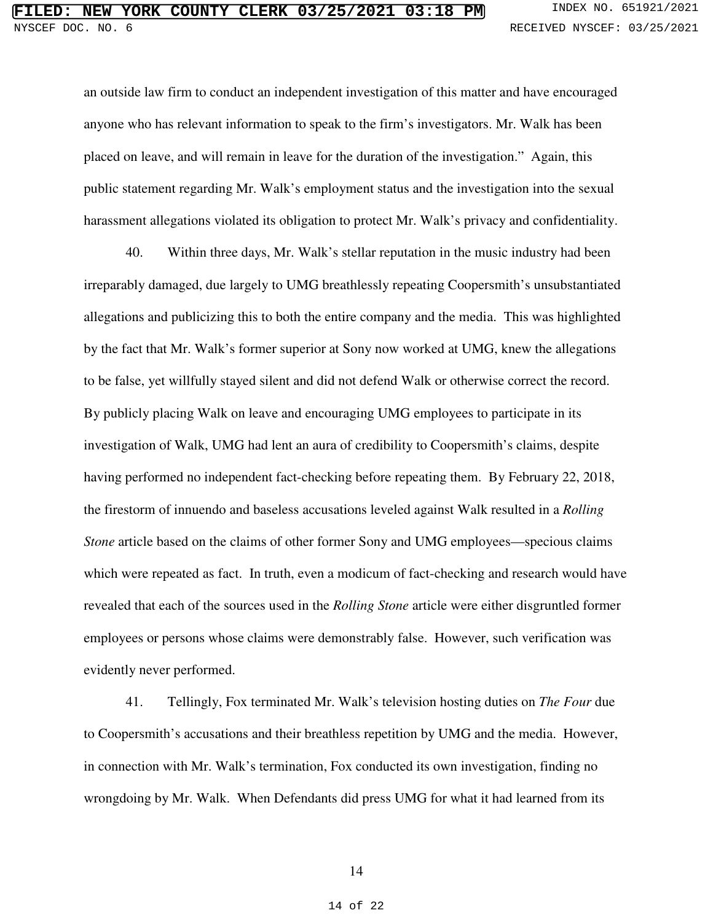an outside law firm to conduct an independent investigation of this matter and have encouraged anyone who has relevant information to speak to the firm's investigators. Mr. Walk has been placed on leave, and will remain in leave for the duration of the investigation." Again, this public statement regarding Mr. Walk's employment status and the investigation into the sexual harassment allegations violated its obligation to protect Mr. Walk's privacy and confidentiality.

40. Within three days, Mr. Walk's stellar reputation in the music industry had been irreparably damaged, due largely to UMG breathlessly repeating Coopersmith's unsubstantiated allegations and publicizing this to both the entire company and the media. This was highlighted by the fact that Mr. Walk's former superior at Sony now worked at UMG, knew the allegations to be false, yet willfully stayed silent and did not defend Walk or otherwise correct the record. By publicly placing Walk on leave and encouraging UMG employees to participate in its investigation of Walk, UMG had lent an aura of credibility to Coopersmith's claims, despite having performed no independent fact-checking before repeating them. By February 22, 2018, the firestorm of innuendo and baseless accusations leveled against Walk resulted in a *Rolling Stone* article based on the claims of other former Sony and UMG employees—specious claims which were repeated as fact. In truth, even a modicum of fact-checking and research would have revealed that each of the sources used in the *Rolling Stone* article were either disgruntled former employees or persons whose claims were demonstrably false. However, such verification was evidently never performed.

41. Tellingly, Fox terminated Mr. Walk's television hosting duties on *The Four* due to Coopersmith's accusations and their breathless repetition by UMG and the media. However, in connection with Mr. Walk's termination, Fox conducted its own investigation, finding no wrongdoing by Mr. Walk. When Defendants did press UMG for what it had learned from its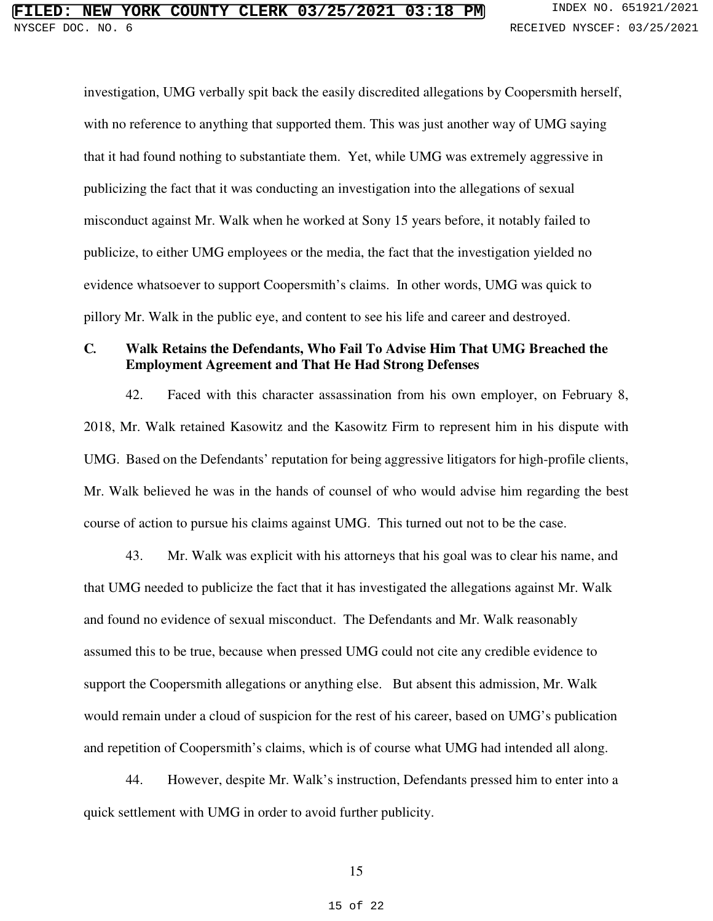investigation, UMG verbally spit back the easily discredited allegations by Coopersmith herself, with no reference to anything that supported them. This was just another way of UMG saying that it had found nothing to substantiate them. Yet, while UMG was extremely aggressive in publicizing the fact that it was conducting an investigation into the allegations of sexual misconduct against Mr. Walk when he worked at Sony 15 years before, it notably failed to publicize, to either UMG employees or the media, the fact that the investigation yielded no evidence whatsoever to support Coopersmith's claims. In other words, UMG was quick to pillory Mr. Walk in the public eye, and content to see his life and career and destroyed.

### **C***.* **Walk Retains the Defendants, Who Fail To Advise Him That UMG Breached the Employment Agreement and That He Had Strong Defenses**

42. Faced with this character assassination from his own employer, on February 8, 2018, Mr. Walk retained Kasowitz and the Kasowitz Firm to represent him in his dispute with UMG. Based on the Defendants' reputation for being aggressive litigators for high-profile clients, Mr. Walk believed he was in the hands of counsel of who would advise him regarding the best course of action to pursue his claims against UMG. This turned out not to be the case.

43. Mr. Walk was explicit with his attorneys that his goal was to clear his name, and that UMG needed to publicize the fact that it has investigated the allegations against Mr. Walk and found no evidence of sexual misconduct. The Defendants and Mr. Walk reasonably assumed this to be true, because when pressed UMG could not cite any credible evidence to support the Coopersmith allegations or anything else. But absent this admission, Mr. Walk would remain under a cloud of suspicion for the rest of his career, based on UMG's publication and repetition of Coopersmith's claims, which is of course what UMG had intended all along.

44. However, despite Mr. Walk's instruction, Defendants pressed him to enter into a quick settlement with UMG in order to avoid further publicity.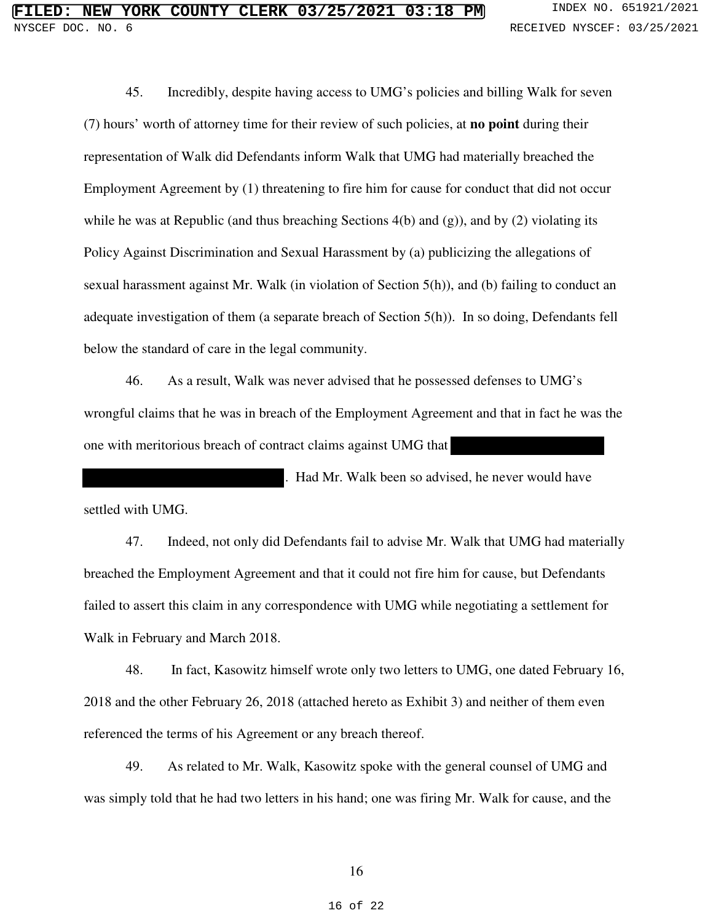45. Incredibly, despite having access to UMG's policies and billing Walk for seven (7) hours' worth of attorney time for their review of such policies, at **no point** during their representation of Walk did Defendants inform Walk that UMG had materially breached the Employment Agreement by (1) threatening to fire him for cause for conduct that did not occur while he was at Republic (and thus breaching Sections 4(b) and (g)), and by (2) violating its Policy Against Discrimination and Sexual Harassment by (a) publicizing the allegations of sexual harassment against Mr. Walk (in violation of Section 5(h)), and (b) failing to conduct an adequate investigation of them (a separate breach of Section 5(h)). In so doing, Defendants fell below the standard of care in the legal community.

46. As a result, Walk was never advised that he possessed defenses to UMG's wrongful claims that he was in breach of the Employment Agreement and that in fact he was the one with meritorious breach of contract claims against UMG that

. Had Mr. Walk been so advised, he never would have settled with UMG.

47. Indeed, not only did Defendants fail to advise Mr. Walk that UMG had materially breached the Employment Agreement and that it could not fire him for cause, but Defendants failed to assert this claim in any correspondence with UMG while negotiating a settlement for Walk in February and March 2018.

48. In fact, Kasowitz himself wrote only two letters to UMG, one dated February 16, 2018 and the other February 26, 2018 (attached hereto as Exhibit 3) and neither of them even referenced the terms of his Agreement or any breach thereof.

49. As related to Mr. Walk, Kasowitz spoke with the general counsel of UMG and was simply told that he had two letters in his hand; one was firing Mr. Walk for cause, and the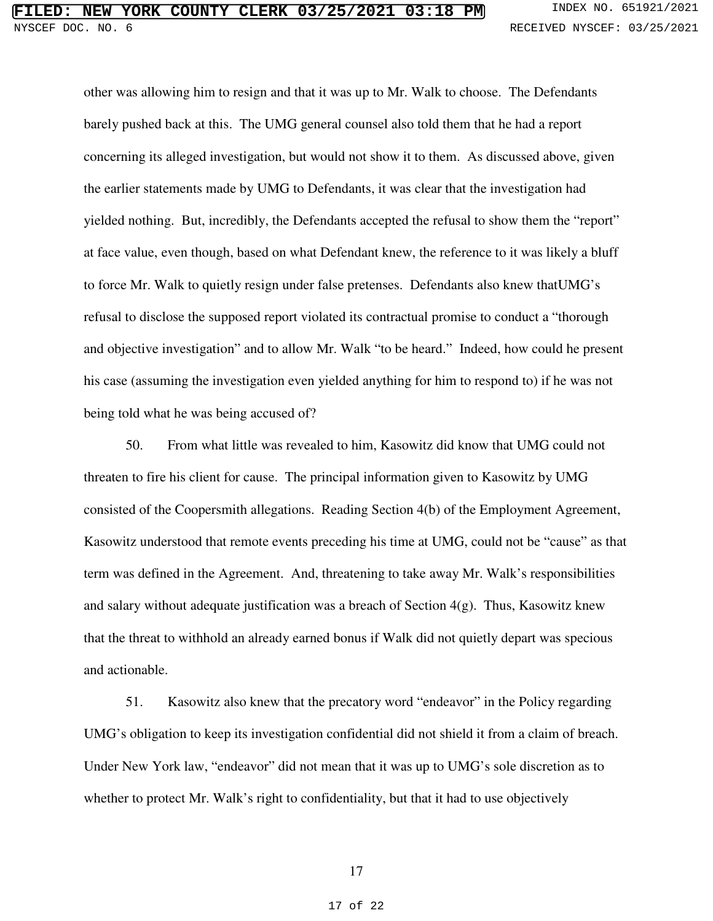other was allowing him to resign and that it was up to Mr. Walk to choose. The Defendants barely pushed back at this. The UMG general counsel also told them that he had a report concerning its alleged investigation, but would not show it to them. As discussed above, given the earlier statements made by UMG to Defendants, it was clear that the investigation had yielded nothing. But, incredibly, the Defendants accepted the refusal to show them the "report" at face value, even though, based on what Defendant knew, the reference to it was likely a bluff to force Mr. Walk to quietly resign under false pretenses. Defendants also knew thatUMG's refusal to disclose the supposed report violated its contractual promise to conduct a "thorough and objective investigation" and to allow Mr. Walk "to be heard." Indeed, how could he present his case (assuming the investigation even yielded anything for him to respond to) if he was not being told what he was being accused of?

50. From what little was revealed to him, Kasowitz did know that UMG could not threaten to fire his client for cause. The principal information given to Kasowitz by UMG consisted of the Coopersmith allegations. Reading Section 4(b) of the Employment Agreement, Kasowitz understood that remote events preceding his time at UMG, could not be "cause" as that term was defined in the Agreement. And, threatening to take away Mr. Walk's responsibilities and salary without adequate justification was a breach of Section 4(g). Thus, Kasowitz knew that the threat to withhold an already earned bonus if Walk did not quietly depart was specious and actionable.

51. Kasowitz also knew that the precatory word "endeavor" in the Policy regarding UMG's obligation to keep its investigation confidential did not shield it from a claim of breach. Under New York law, "endeavor" did not mean that it was up to UMG's sole discretion as to whether to protect Mr. Walk's right to confidentiality, but that it had to use objectively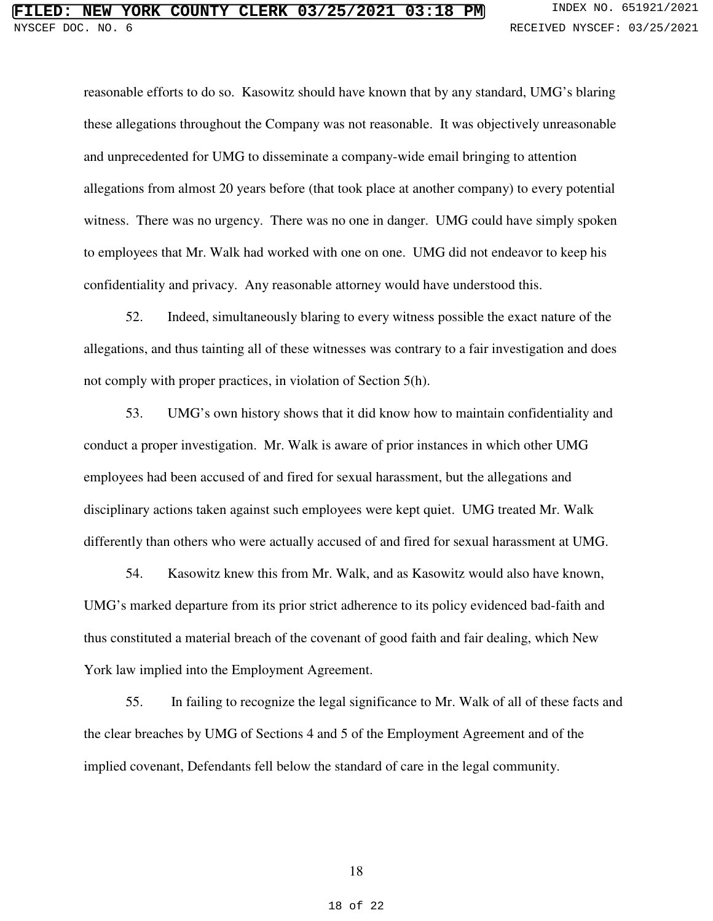reasonable efforts to do so. Kasowitz should have known that by any standard, UMG's blaring these allegations throughout the Company was not reasonable. It was objectively unreasonable and unprecedented for UMG to disseminate a company-wide email bringing to attention allegations from almost 20 years before (that took place at another company) to every potential witness. There was no urgency. There was no one in danger. UMG could have simply spoken to employees that Mr. Walk had worked with one on one. UMG did not endeavor to keep his confidentiality and privacy. Any reasonable attorney would have understood this.

52. Indeed, simultaneously blaring to every witness possible the exact nature of the allegations, and thus tainting all of these witnesses was contrary to a fair investigation and does not comply with proper practices, in violation of Section 5(h).

53. UMG's own history shows that it did know how to maintain confidentiality and conduct a proper investigation. Mr. Walk is aware of prior instances in which other UMG employees had been accused of and fired for sexual harassment, but the allegations and disciplinary actions taken against such employees were kept quiet. UMG treated Mr. Walk differently than others who were actually accused of and fired for sexual harassment at UMG.

54. Kasowitz knew this from Mr. Walk, and as Kasowitz would also have known, UMG's marked departure from its prior strict adherence to its policy evidenced bad-faith and thus constituted a material breach of the covenant of good faith and fair dealing, which New York law implied into the Employment Agreement.

55. In failing to recognize the legal significance to Mr. Walk of all of these facts and the clear breaches by UMG of Sections 4 and 5 of the Employment Agreement and of the implied covenant, Defendants fell below the standard of care in the legal community.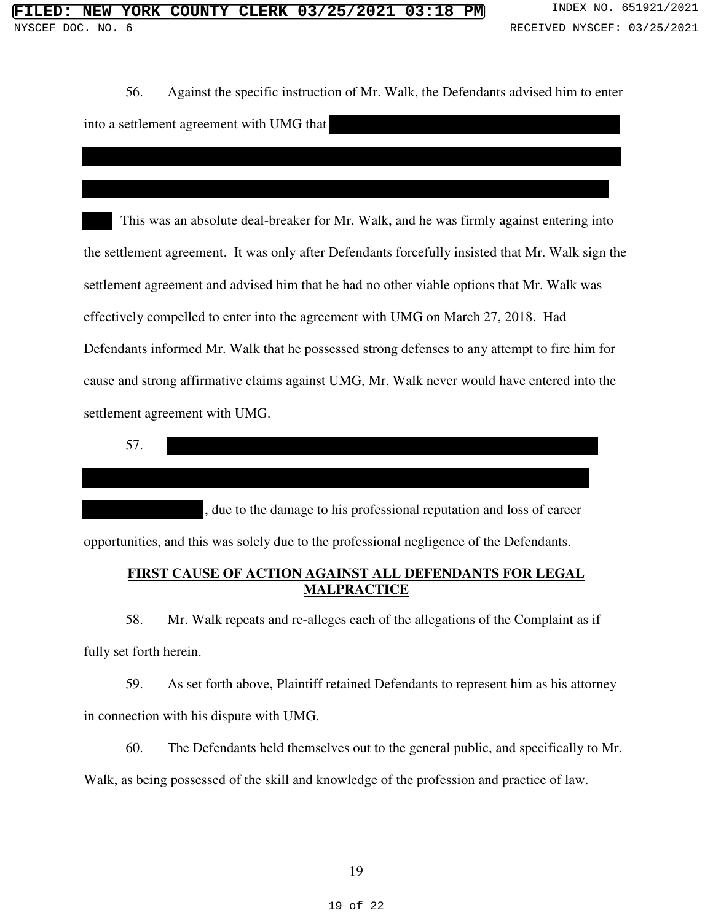56. Against the specific instruction of Mr. Walk, the Defendants advised him to enter into a settlement agreement with UMG that

 This was an absolute deal-breaker for Mr. Walk, and he was firmly against entering into the settlement agreement. It was only after Defendants forcefully insisted that Mr. Walk sign the settlement agreement and advised him that he had no other viable options that Mr. Walk was effectively compelled to enter into the agreement with UMG on March 27, 2018. Had Defendants informed Mr. Walk that he possessed strong defenses to any attempt to fire him for cause and strong affirmative claims against UMG, Mr. Walk never would have entered into the settlement agreement with UMG.

57.

, due to the damage to his professional reputation and loss of career opportunities, and this was solely due to the professional negligence of the Defendants.

### **FIRST CAUSE OF ACTION AGAINST ALL DEFENDANTS FOR LEGAL MALPRACTICE**

58. Mr. Walk repeats and re-alleges each of the allegations of the Complaint as if fully set forth herein.

59. As set forth above, Plaintiff retained Defendants to represent him as his attorney in connection with his dispute with UMG.

60. The Defendants held themselves out to the general public, and specifically to Mr. Walk, as being possessed of the skill and knowledge of the profession and practice of law.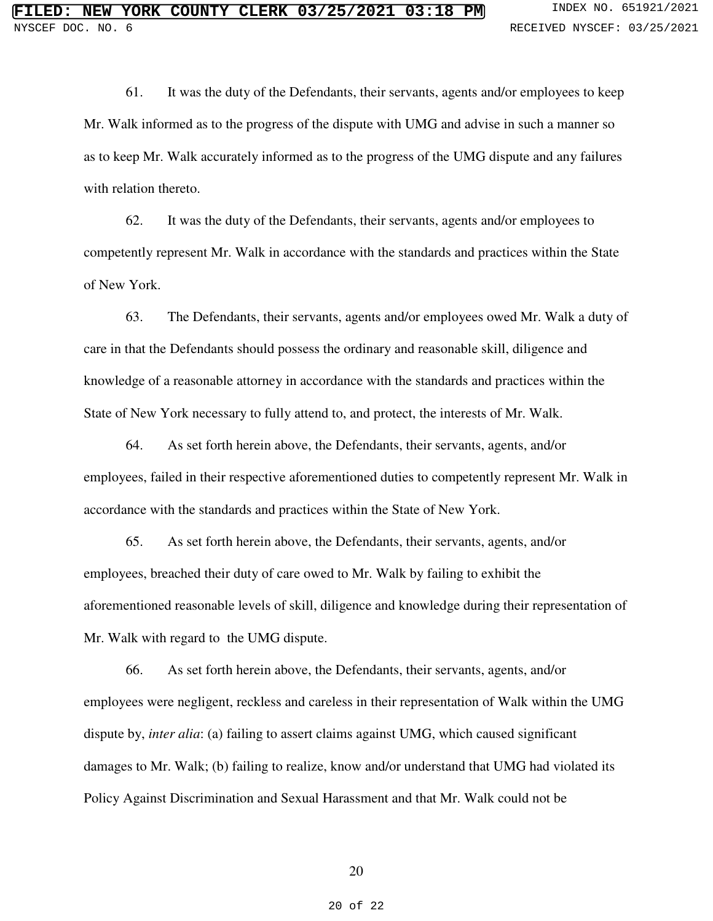61. It was the duty of the Defendants, their servants, agents and/or employees to keep Mr. Walk informed as to the progress of the dispute with UMG and advise in such a manner so as to keep Mr. Walk accurately informed as to the progress of the UMG dispute and any failures with relation thereto.

62. It was the duty of the Defendants, their servants, agents and/or employees to competently represent Mr. Walk in accordance with the standards and practices within the State of New York.

63. The Defendants, their servants, agents and/or employees owed Mr. Walk a duty of care in that the Defendants should possess the ordinary and reasonable skill, diligence and knowledge of a reasonable attorney in accordance with the standards and practices within the State of New York necessary to fully attend to, and protect, the interests of Mr. Walk.

64. As set forth herein above, the Defendants, their servants, agents, and/or employees, failed in their respective aforementioned duties to competently represent Mr. Walk in accordance with the standards and practices within the State of New York.

65. As set forth herein above, the Defendants, their servants, agents, and/or employees, breached their duty of care owed to Mr. Walk by failing to exhibit the aforementioned reasonable levels of skill, diligence and knowledge during their representation of Mr. Walk with regard to the UMG dispute.

66. As set forth herein above, the Defendants, their servants, agents, and/or employees were negligent, reckless and careless in their representation of Walk within the UMG dispute by, *inter alia*: (a) failing to assert claims against UMG, which caused significant damages to Mr. Walk; (b) failing to realize, know and/or understand that UMG had violated its Policy Against Discrimination and Sexual Harassment and that Mr. Walk could not be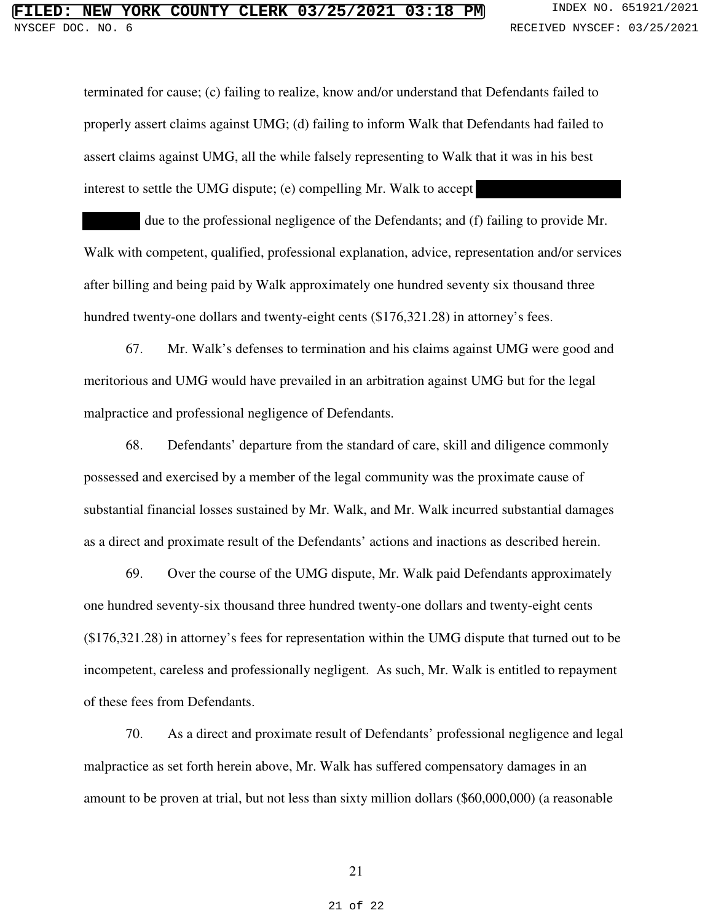terminated for cause; (c) failing to realize, know and/or understand that Defendants failed to properly assert claims against UMG; (d) failing to inform Walk that Defendants had failed to assert claims against UMG, all the while falsely representing to Walk that it was in his best interest to settle the UMG dispute; (e) compelling Mr. Walk to accept

 due to the professional negligence of the Defendants; and (f) failing to provide Mr. Walk with competent, qualified, professional explanation, advice, representation and/or services after billing and being paid by Walk approximately one hundred seventy six thousand three hundred twenty-one dollars and twenty-eight cents (\$176,321.28) in attorney's fees.

67. Mr. Walk's defenses to termination and his claims against UMG were good and meritorious and UMG would have prevailed in an arbitration against UMG but for the legal malpractice and professional negligence of Defendants.

68. Defendants' departure from the standard of care, skill and diligence commonly possessed and exercised by a member of the legal community was the proximate cause of substantial financial losses sustained by Mr. Walk, and Mr. Walk incurred substantial damages as a direct and proximate result of the Defendants' actions and inactions as described herein.

69. Over the course of the UMG dispute, Mr. Walk paid Defendants approximately one hundred seventy-six thousand three hundred twenty-one dollars and twenty-eight cents (\$176,321.28) in attorney's fees for representation within the UMG dispute that turned out to be incompetent, careless and professionally negligent. As such, Mr. Walk is entitled to repayment of these fees from Defendants.

70. As a direct and proximate result of Defendants' professional negligence and legal malpractice as set forth herein above, Mr. Walk has suffered compensatory damages in an amount to be proven at trial, but not less than sixty million dollars (\$60,000,000) (a reasonable